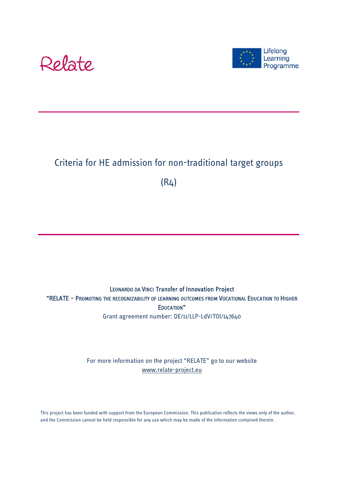



# Criteria for HE admission for non-traditional target groups

(R4)

LEONARDO DA VINCI Transfer of Innovation Project "RELATE – PROMOTING THE RECOGNIZABILITY OF LEARNING OUTCOMES FROM VOCATIONAL EDUCATION TO HIGHER EDUCATION" Grant agreement number: DE/11/LLP-LdV/TOI/147640

> For more information on the project "RELATE" go to our website www.relate-project.eu

This project has been funded with support from the European Commission. This publication reflects the views only of the author, and the Commission cannot be held responsible for any use which may be made of the information contained therein.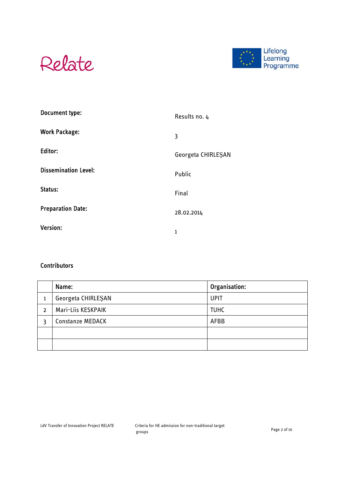



| Document type:              | Results no. 4      |
|-----------------------------|--------------------|
| <b>Work Package:</b>        | 3                  |
| Editor:                     | Georgeta CHIRLEŞAN |
| <b>Dissemination Level:</b> | Public             |
| Status:                     | Final              |
| <b>Preparation Date:</b>    | 28.02.2014         |
| <b>Version:</b>             | $\mathbf{1}$       |

#### **Contributors**

|   | Name:                   | Organisation: |
|---|-------------------------|---------------|
|   | Georgeta CHIRLESAN      | <b>UPIT</b>   |
| 2 | Mari-Liis KESKPAIK      | <b>TUHC</b>   |
|   | <b>Constanze MEDACK</b> | AFBB          |
|   |                         |               |
|   |                         |               |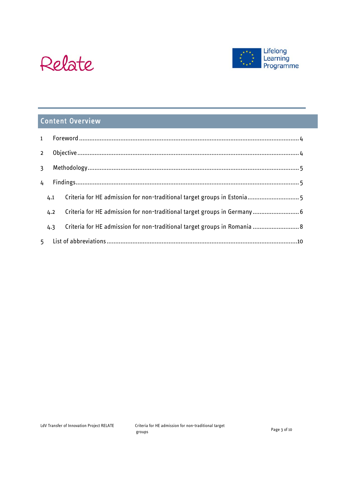



# Content Overview

| $\overline{2}$ |     |  |                                                                           |  |
|----------------|-----|--|---------------------------------------------------------------------------|--|
| $\overline{3}$ |     |  |                                                                           |  |
| 4              |     |  |                                                                           |  |
|                | 4.1 |  | Criteria for HE admission for non-traditional target groups in Estonia 5  |  |
|                | 4.2 |  | Criteria for HE admission for non-traditional target groups in Germany 6  |  |
|                | 4.3 |  | Criteria for HE admission for non-traditional target groups in Romania  8 |  |
|                |     |  |                                                                           |  |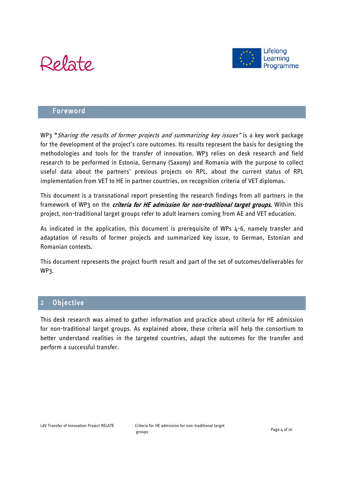



#### Foreword

WP3 "Sharing the results of former projects and summarizing key issues" is a key work package for the development of the project's core outcomes. Its results represent the basis for designing the methodologies and tools for the transfer of innovation. WP3 relies on desk research and field research to be performed in Estonia, Germany (Saxony) and Romania with the purpose to collect useful data about the partners' previous projects on RPL, about the current status of RPL implementation from VET to HE in partner countries, on recognition criteria of VET diplomas.

This document is a transnational report presenting the research findings from all partners in the framework of WP3 on the *criteria for HE admission for non-traditional target groups*. Within this project, non-traditional target groups refer to adult learners coming from AE and VET education.

As indicated in the application, this document is prerequisite of WPs 4-6, namely transfer and adaptation of results of former projects and summarized key issue, to German, Estonian and Romanian contexts.

This document represents the project fourth result and part of the set of outcomes/deliverables for WP3.

# 2 Objective

This desk research was aimed to gather information and practice about criteria for HE admission for non-traditional target groups. As explained above, these criteria will help the consortium to better understand realities in the targeted countries, adapt the outcomes for the transfer and perform a successful transfer.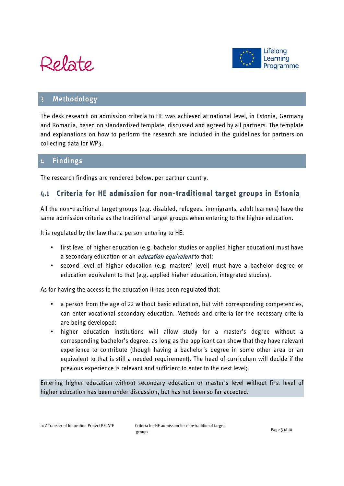



## **Methodology**

The desk research on admission criteria to HE was achieved at national level, in Estonia, Germany and Romania, based on standardized template, discussed and agreed by all partners. The template and explanations on how to perform the research are included in the guidelines for partners on collecting data for WP3.

## 4 Findings

The research findings are rendered below, per partner country.

### **4.1 Criteria for HE admission for non-traditional target groups in Estonia**

All the non-traditional target groups (e.g. disabled, refugees, immigrants, adult learners) have the same admission criteria as the traditional target groups when entering to the higher education.

It is regulated by the law that a person entering to HE:

- first level of higher education (e.g. bachelor studies or applied higher education) must have a secondary education or an *education equivalent* to that;
- second level of higher education (e.g. masters' level) must have a bachelor degree or education equivalent to that (e.g. applied higher education, integrated studies).

As for having the access to the education it has been regulated that:

- a person from the age of 22 without basic education, but with corresponding competencies, can enter vocational secondary education. Methods and criteria for the necessary criteria are being developed;
- higher education institutions will allow study for a master's degree without a corresponding bachelor's degree, as long as the applicant can show that they have relevant experience to contribute (though having a bachelor's degree in some other area or an equivalent to that is still a needed requirement). The head of curriculum will decide if the previous experience is relevant and sufficient to enter to the next level;

Entering higher education without secondary education or master's level without first level of higher education has been under discussion, but has not been so far accepted.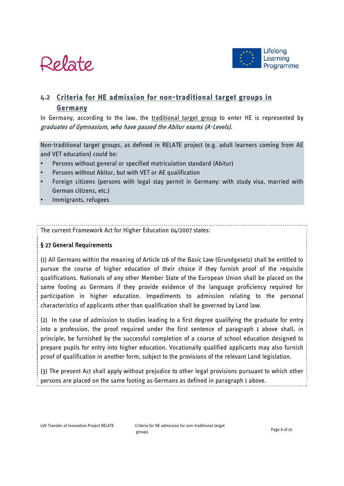



# **4.2 Criteria for HE admission for non-traditional target groups in Germany**

In Germany, according to the law, the traditional target group to enter HE is represented by graduates of Gymnasium, who have passed the Abitur exams (A-Levels).

Non-traditional target groups, as defined in RELATE project (e.g. adult learners coming from AE and VET education) could be:

- Persons without general or specified matriculation standard (Abitur)
- Persons without Abitur, but with VET or AE qualification
- Foreign citizens (persons with legal stay permit in Germany: with study visa, married with German citizens, etc.)
- Immigrants, refugees

#### The current Framework Act for Higher Education 04/2007 states:

#### § 27 General Requirements

(1) All Germans within the meaning of Article 116 of the Basic Law (Grundgesetz) shall be entitled to pursue the course of higher education of their choice if they furnish proof of the requisite qualifications. Nationals of any other Member State of the European Union shall be placed on the same footing as Germans if they provide evidence of the language proficiency required for participation in higher education. Impediments to admission relating to the personal characteristics of applicants other than qualification shall be governed by Land law.

(2) In the case of admission to studies leading to a first degree qualifying the graduate for entry into a profession, the proof required under the first sentence of paragraph 1 above shall, in principle, be furnished by the successful completion of a course of school education designed to prepare pupils for entry into higher education. Vocationally qualified applicants may also furnish proof of qualification in another form, subject to the provisions of the relevant Land legislation.

(3) The present Act shall apply without prejudice to other legal provisions pursuant to which other persons are placed on the same footing as Germans as defined in paragraph 1 above.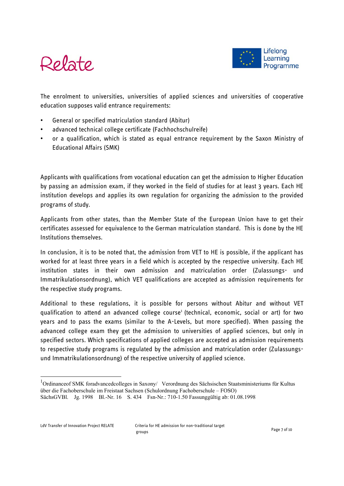



The enrolment to universities, universities of applied sciences and universities of cooperative education supposes valid entrance requirements:

- General or specified matriculation standard (Abitur)
- advanced technical college certificate (Fachhochschulreife)
- or a qualification, which is stated as equal entrance requirement by the Saxon Ministry of Educational Affairs (SMK)

Applicants with qualifications from vocational education can get the admission to Higher Education by passing an admission exam, if they worked in the field of studies for at least 3 years. Each HE institution develops and applies its own regulation for organizing the admission to the provided programs of study.

Applicants from other states, than the Member State of the European Union have to get their certificates assessed for equivalence to the German matriculation standard. This is done by the HE Institutions themselves.

In conclusion, it is to be noted that, the admission from VET to HE is possible, if the applicant has worked for at least three years in a field which is accepted by the respective university. Each HE institution states in their own admission and matriculation order (Zulassungs- und Immatrikulationsordnung), which VET qualifications are accepted as admission requirements for the respective study programs.

Additional to these regulations, it is possible for persons without Abitur and without VET qualification to attend an advanced college course<sup>1</sup> (technical, economic, social or art) for two years and to pass the exams (similar to the A-Levels, but more specified). When passing the advanced college exam they get the admission to universities of applied sciences, but only in specified sectors. Which specifications of applied colleges are accepted as admission requirements to respective study programs is regulated by the admission and matriculation order (Zulassungsund Immatrikulationsordnung) of the respective university of applied science.

-

<sup>&</sup>lt;sup>1</sup>Ordinanceof SMK foradvancedcolleges in Saxony/ Verordnung des Sächsischen Staatsministeriums für Kultus über die Fachoberschule im Freistaat Sachsen (Schulordnung Fachoberschule – FOSO) SächsGVBl. Jg. 1998 Bl.-Nr. 16 S. 434 Fsn-Nr.: 710-1.50 Fassunggültig ab: 01.08.1998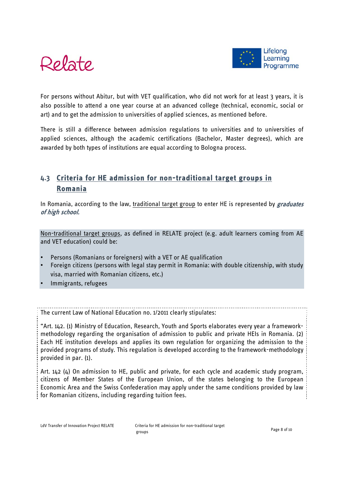



For persons without Abitur, but with VET qualification, who did not work for at least 3 years, it is also possible to attend a one year course at an advanced college (technical, economic, social or art) and to get the admission to universities of applied sciences, as mentioned before.

There is still a difference between admission regulations to universities and to universities of applied sciences, although the academic certifications (Bachelor, Master degrees), which are awarded by both types of institutions are equal according to Bologna process.

# **4.3 Criteria for HE admission for non-traditional target groups in Romania**

In Romania, according to the law, traditional target group to enter HE is represented by *graduates* of high school.

Non-traditional target groups, as defined in RELATE project (e.g. adult learners coming from AE and VET education) could be:

- Persons (Romanians or foreigners) with a VET or AE qualification
- Foreign citizens (persons with legal stay permit in Romania: with double citizenship, with study visa, married with Romanian citizens, etc.)
- Immigrants, refugees

The current Law of National Education no. 1/2011 clearly stipulates:

"Art. 142. (1) Ministry of Education, Research, Youth and Sports elaborates every year a frameworkmethodology regarding the organisation of admission to public and private HEIs in Romania. (2) Each HE institution develops and applies its own regulation for organizing the admission to the provided programs of study. This regulation is developed according to the framework-methodology provided in par. (1).

Art. 142 (4) On admission to HE, public and private, for each cycle and academic study program, citizens of Member States of the European Union, of the states belonging to the European Economic Area and the Swiss Confederation may apply under the same conditions provided by law for Romanian citizens, including regarding tuition fees.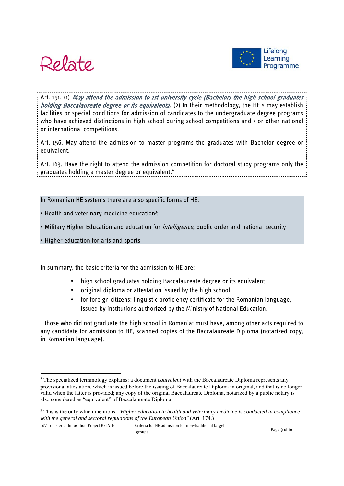



Art. 151. (1) May attend the admission to 1st university cycle (Bachelor) the high school graduates holding Baccalaureate degree or its equivalent2. (2) In their methodology, the HEIs may establish facilities or special conditions for admission of candidates to the undergraduate degree programs who have achieved distinctions in high school during school competitions and / or other national or international competitions.

Art. 156. May attend the admission to master programs the graduates with Bachelor degree or equivalent.

Art. 163. Have the right to attend the admission competition for doctoral study programs only the graduates holding a master degree or equivalent."

#### In Romanian HE systems there are also specific forms of HE:

- Health and veterinary medicine education<sup>3</sup>;
- Military Higher Education and education for *intelligence*, public order and national security
- Higher education for arts and sports

-

In summary, the basic criteria for the admission to HE are:

- high school graduates holding Baccalaureate degree or its equivalent
- original diploma or attestation issued by the high school
- for foreign citizens: linguistic proficiency certificate for the Romanian language, issued by institutions authorized by the Ministry of National Education.

- those who did not graduate the high school in Romania: must have, among other acts required to any candidate for admission to HE, scanned copies of the Baccalaureate Diploma (notarized copy, in Romanian language).

LdV Transfer of Innovation Project RELATE Criteria for HE admission for non-traditional target groups example and the contract of the contract of the Page 9 of 10

<sup>2</sup> The specialized terminology explains: a document *equivalent* with the Baccalaureate Diploma represents any provisional attestation, which is issued before the issuing of Baccalaureate Diploma in original, and that is no longer valid when the latter is provided; any copy of the original Baccalaureate Diploma, notarized by a public notary is also considered as "equivalent" of Baccalaureate Diploma.

<sup>3</sup> This is the only which mentions: *"Higher education in health and veterinary medicine is conducted in compliance with the general and sectoral regulations of the European Union"* (Art. 174.)